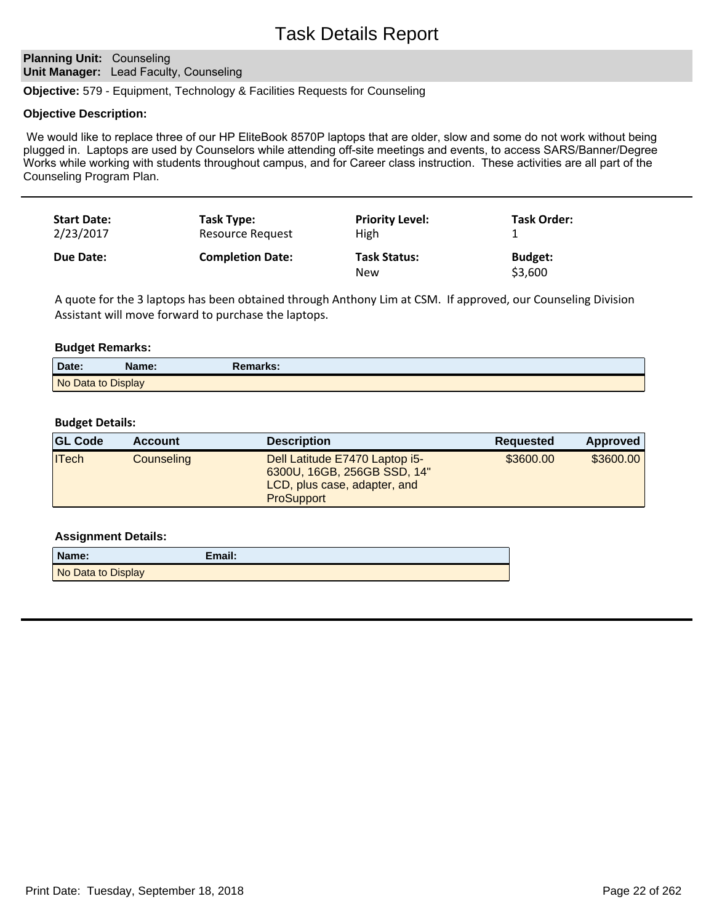# Task Details Report

# **Planning Unit: Counseling Unit Manager:** Lead Faculty, Counseling

**Objective:** 579 - Equipment, Technology & Facilities Requests for Counseling

#### **Objective Description:**

We would like to replace three of our HP EliteBook 8570P laptops that are older, slow and some do not work without being plugged in. Laptops are used by Counselors while attending off-site meetings and events, to access SARS/Banner/Degree Works while working with students throughout campus, and for Career class instruction. These activities are all part of the Counseling Program Plan.

| <b>Start Date:</b> | Task Type:              | <b>Priority Level:</b>     | Task Order:               |
|--------------------|-------------------------|----------------------------|---------------------------|
| 2/23/2017          | Resource Request        | High                       |                           |
| Due Date:          | <b>Completion Date:</b> | <b>Task Status:</b><br>New | <b>Budget:</b><br>\$3,600 |

A quote for the 3 laptops has been obtained through Anthony Lim at CSM. If approved, our Counseling Division Assistant will move forward to purchase the laptops.

#### **Budget Remarks:**

| Date:              | Name: | Remarks: |
|--------------------|-------|----------|
| No Data to Display |       |          |

# **Budget Details:**

| <b>GL Code</b> | <b>Account</b> | <b>Description</b>                                                                                                 | Requested | Approved  |
|----------------|----------------|--------------------------------------------------------------------------------------------------------------------|-----------|-----------|
| <b>ITech</b>   | Counseling     | Dell Latitude E7470 Laptop i5-<br>6300U, 16GB, 256GB SSD, 14"<br>LCD, plus case, adapter, and<br><b>ProSupport</b> | \$3600.00 | \$3600.00 |

| Name:              | Email: |
|--------------------|--------|
| No Data to Display |        |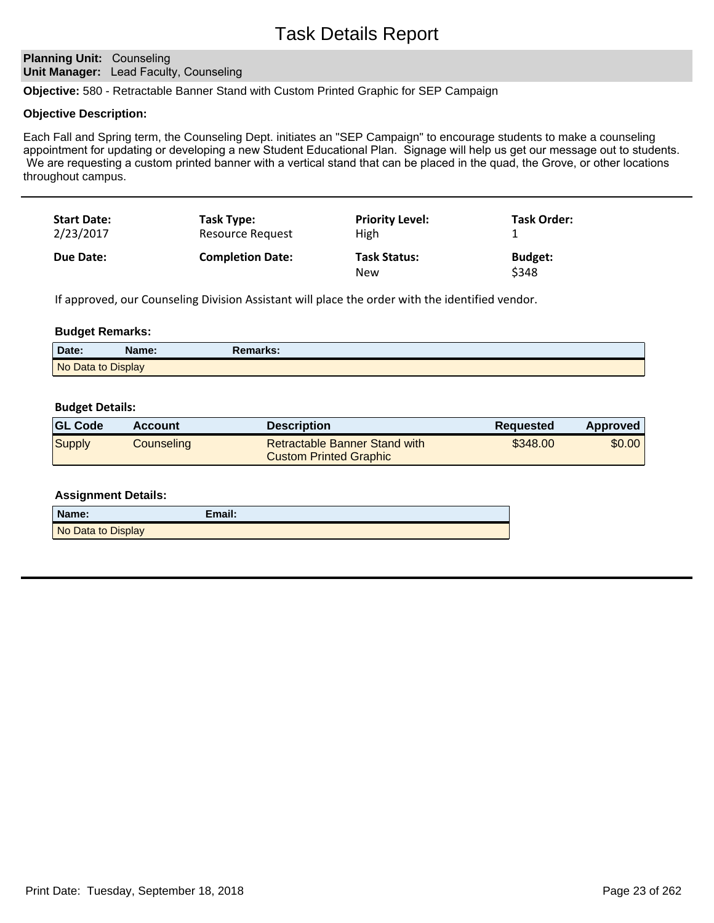# Task Details Report

# **Planning Unit: Counseling Unit Manager:** Lead Faculty, Counseling

**Objective:** 580 - Retractable Banner Stand with Custom Printed Graphic for SEP Campaign

## **Objective Description:**

Each Fall and Spring term, the Counseling Dept. initiates an "SEP Campaign" to encourage students to make a counseling appointment for updating or developing a new Student Educational Plan. Signage will help us get our message out to students. We are requesting a custom printed banner with a vertical stand that can be placed in the quad, the Grove, or other locations throughout campus.

| <b>Start Date:</b> | Task Type:              | <b>Priority Level:</b>            | <b>Task Order:</b>      |
|--------------------|-------------------------|-----------------------------------|-------------------------|
| 2/23/2017          | Resource Request        | High                              |                         |
| Due Date:          | <b>Completion Date:</b> | <b>Task Status:</b><br><b>New</b> | <b>Budget:</b><br>\$348 |

If approved, our Counseling Division Assistant will place the order with the identified vendor.

#### **Budget Remarks:**

| Date:              | Name: | <b>Remarks:</b> |  |
|--------------------|-------|-----------------|--|
| No Data to Display |       |                 |  |

#### **Budget Details:**

| <b>GL Code</b> | <b>Account</b> | <b>Description</b>                                             | <b>Requested</b> | <b>Approved</b> |
|----------------|----------------|----------------------------------------------------------------|------------------|-----------------|
| Supply         | Counseling     | Retractable Banner Stand with<br><b>Custom Printed Graphic</b> | \$348.00         | \$0.00          |

| Name:              | Email: |
|--------------------|--------|
| No Data to Display |        |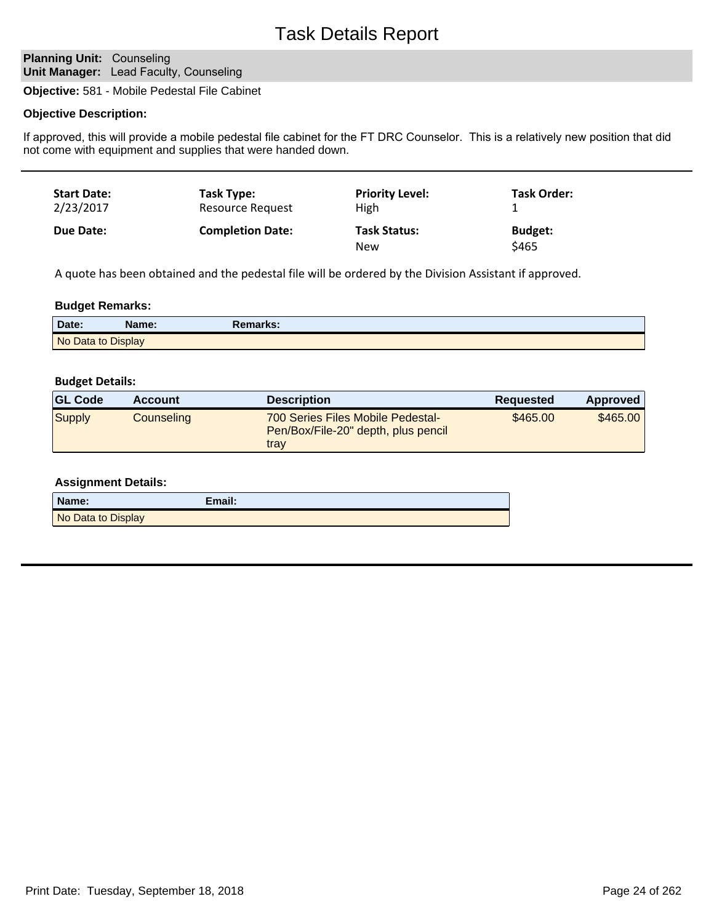# **Planning Unit: Counseling Unit Manager:** Lead Faculty, Counseling

**Objective:** 581 - Mobile Pedestal File Cabinet

# **Objective Description:**

If approved, this will provide a mobile pedestal file cabinet for the FT DRC Counselor. This is a relatively new position that did not come with equipment and supplies that were handed down.

| <b>Start Date:</b> | Task Type:              | <b>Priority Level:</b>            | Task Order:             |
|--------------------|-------------------------|-----------------------------------|-------------------------|
| 2/23/2017          | <b>Resource Request</b> | High                              |                         |
| Due Date:          | <b>Completion Date:</b> | <b>Task Status:</b><br><b>New</b> | <b>Budget:</b><br>\$465 |

A quote has been obtained and the pedestal file will be ordered by the Division Assistant if approved.

## **Budget Remarks:**

| Date:              | Name: | Remarks: |
|--------------------|-------|----------|
| No Data to Display |       |          |

#### **Budget Details:**

| <b>GL Code</b> | <b>Account</b> | <b>Description</b>                                                               | Requested | Approved |
|----------------|----------------|----------------------------------------------------------------------------------|-----------|----------|
| Supply         | Counseling     | 700 Series Files Mobile Pedestal-<br>Pen/Box/File-20" depth, plus pencil<br>trav | \$465.00  | \$465.00 |

| Name:              | Email: |
|--------------------|--------|
| No Data to Display |        |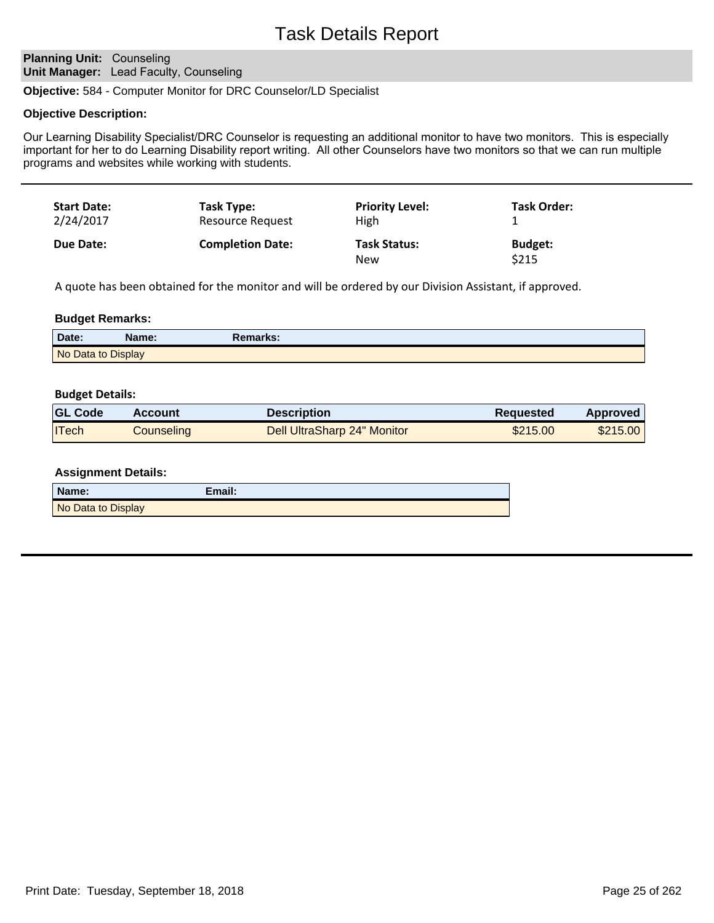# Task Details Report

# **Planning Unit: Counseling Unit Manager:** Lead Faculty, Counseling

**Objective:** 584 - Computer Monitor for DRC Counselor/LD Specialist

#### **Objective Description:**

Our Learning Disability Specialist/DRC Counselor is requesting an additional monitor to have two monitors. This is especially important for her to do Learning Disability report writing. All other Counselors have two monitors so that we can run multiple programs and websites while working with students.

| <b>Start Date:</b> | Task Type:              | <b>Priority Level:</b>     | Task Order:             |
|--------------------|-------------------------|----------------------------|-------------------------|
| 2/24/2017          | Resource Request        | High                       |                         |
| <b>Due Date:</b>   | <b>Completion Date:</b> | <b>Task Status:</b><br>New | <b>Budget:</b><br>\$215 |

A quote has been obtained for the monitor and will be ordered by our Division Assistant, if approved.

#### **Budget Remarks:**

| Date:              | <b>Name:</b> | Remarks: |
|--------------------|--------------|----------|
| No Data to Display |              |          |

#### **Budget Details:**

| <b>GL Code</b> | <b>Account</b> | <b>Description</b>          | Requested | Approved |
|----------------|----------------|-----------------------------|-----------|----------|
| <b>ITech</b>   | Counseling     | Dell UltraSharp 24" Monitor | \$215.00  | \$215.00 |

| Name:              | Email: |
|--------------------|--------|
| No Data to Display |        |